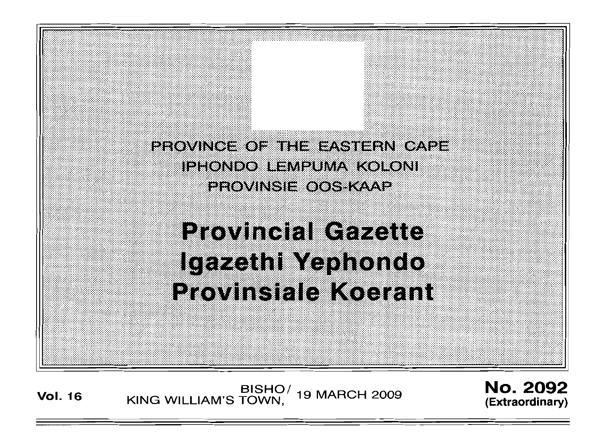

**Vol. <sup>16</sup>** BISHOI KING WILLIAM'S TOWN , 19 MARCH 2009

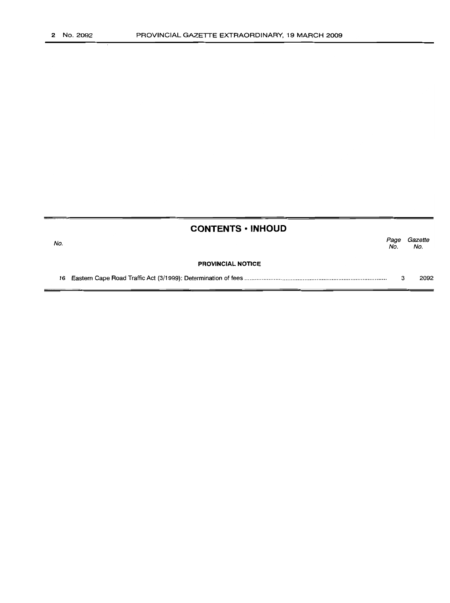|     | <b>CONTENTS • INHOUD</b> |             |                |
|-----|--------------------------|-------------|----------------|
| No. |                          | Page<br>No. | Gazette<br>No. |
|     | <b>PROVINCIAL NOTICE</b> |             |                |
|     |                          |             | 2092           |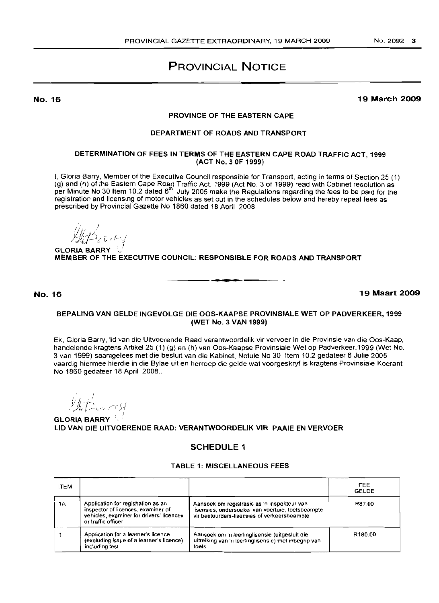# PROVINCIAL NOTICE

No. 16

### 19 March 2009

## PROVINCE OF THE EASTERN CAPE

## DEPARTMENT OF ROADS AND TRANSPORT

## DETERMINATION OF FEES IN TERMS OF THE EASTERN CAPE ROAD TRAFFIC ACT, 1999 (ACT No.3 OF 1999)

I, Gloria Barry, Member of the Executive Council responsible for Transport, acting in terms of Section 25 (1) (g) and (h) of the Eastern Cape Road Traffic Act, 1999 (Act NO.3 of 1999) read with Cabinet resolution as per Minute No 30 Item 10.2 dated 6<sup>th</sup> July 2005 make the Regulations regarding the fees to be paid for the registration and licensing of motor vehicles as set out in the schedules below and hereby repeal fees as prescribed by Provincial Gazette No 1860 dated 18 April 2008

 $\mathcal{L}$ *//1/':* .'l "  $\mathcal{H}$  ,  $\mathcal{H}$ !

**GLORIA BARRY** MEMBER OF THE EXECUTIVE COUNCIL: RESPONSIBLE FOR ROADS AND TRANSPORT

No. 16 19 Maart 2009

## BEPALING VAN GELDE INGEVOLGE DIE OOS-KAAPSE PROVINSIALE WET OP PADVERKEER, 1999 (WET NO.3 VAN 1999)

.**-.**

Ek, Gloria Barry, lid van die Uitvoerende Raad verantwoordelik vir vervoer in die Provinsie van die Oos-Kaap, handelende kragtens Artikel 25 (1) (g) en (h) van Oos-Kaapse Provinsiale Wet op Padverkeer, 1999 (Wet No. 3 van 1999) saamgelees met die besluit van die Kabinet, Notule No 30 Item 10.2 gedateer 6 Julie 2005 vaardig hiermee hierdie in die Bylae uit en herroep die gelde wat voorgeskryf is kragtens Provinsiale Koerant No 1860 gedateer 18 April 2008 ..

uu mi H

GLORIA BARRY LID VAN DIE UITVOERENDE RAAD: VERANTWOORDELIK VIR PAAIE EN VERVOER

## SCHEDULE 1

## TABLE 1: MISCELLANEOUS FEES

| <b>ITEM</b> |                                                                                                                                            |                                                                                                                                                  | <b>FEE</b><br><b>GELDE</b> |
|-------------|--------------------------------------------------------------------------------------------------------------------------------------------|--------------------------------------------------------------------------------------------------------------------------------------------------|----------------------------|
| 1A          | Application for registration as an<br>inspector of licences, examiner of<br>vehicles, examiner for drivers' licences<br>or traffic officer | Aansoek om registrasie as 'n inspekteur van<br>lisensies, ondersoeker van voertuie, toetsbeampte<br>vir bestuurders-lisensies of verkeersbeampte | R87.00                     |
|             | Application for a learner's licence<br>(excluding issue of a learner's licence)<br>including test                                          | Aansoek om 'n leerlinglisensie (uitgesluit die<br>uitreiking van 'n leerlinglisensie) met inbegrip van<br>toets                                  | R <sub>180.00</sub>        |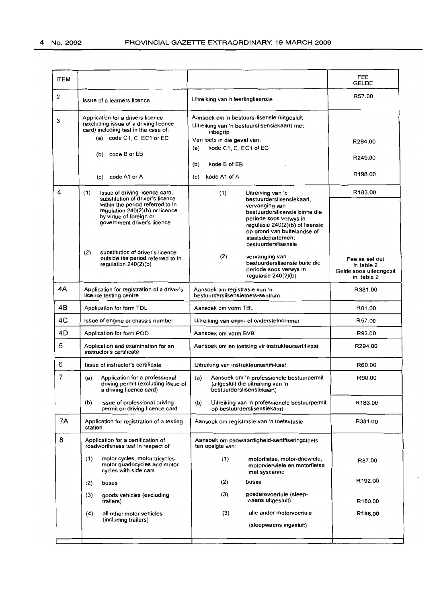| <b>ITEM</b>    |                                                                                                                               |                                                                                                                                                                                         | FEE<br><b>GELDE</b>                                                  |
|----------------|-------------------------------------------------------------------------------------------------------------------------------|-----------------------------------------------------------------------------------------------------------------------------------------------------------------------------------------|----------------------------------------------------------------------|
| 2              | Issue of a learners licence                                                                                                   | Uitreiking van 'n leerlinglisensie                                                                                                                                                      | R57.00                                                               |
| 3              | Application for a drivers licence<br>(excluding issue of a driving licence<br>card) including test in the case of:            | Aansoek om 'n bestuurs-lisensie (uitgesluit<br>Uitreiking van 'n bestuurslisensiekaart) met<br>inbegrip                                                                                 |                                                                      |
|                | (a) code $C1$ , $C$ , $EC1$ or $EC$                                                                                           | Van toets in die geval van:<br>kode C1, C, EC1 of EC<br>(a)                                                                                                                             | R294.00                                                              |
|                | (b) code B or EB                                                                                                              | kode B of EB<br>(b)                                                                                                                                                                     | R249.00                                                              |
|                | code A1 or A<br>(c)                                                                                                           | kode A1 of A<br>(c)                                                                                                                                                                     | R198.00                                                              |
| 4              | (1)<br>Issue of driving licence card,<br>substitution of driver's licence                                                     | (1)<br>Uitreiking van 'n<br>bestuurderslisensiekaart,                                                                                                                                   | R183.00                                                              |
|                | within the period referred to in<br>regulation 240(2)(b) or licence<br>by virtue of foreign or<br>government driver's licence | vervanging van<br>bestuurderslisensie binne die<br>periode soos verwys in<br>regulasie 240(2)(b) of lisensie<br>op grond van buitelandse of<br>staatsdepartement<br>bestuurderslisensie |                                                                      |
|                | substitution of driver's licence<br>(2)<br>outside the period referred to in<br>regulation $240(2)(b)$                        | (2)<br>vervanging van<br>bestuurderslisensie buite die<br>periode soos verwys in<br>regulasie $240(2)(b)$                                                                               | Fee as set out<br>in table 2<br>Gelde soos uiteengesit<br>in table 2 |
| 4A             | Application for registration of a driver's<br>licence testing centre                                                          | Aansoek om registrasie van 'n<br>bestuurderslisensietoets-sentrum                                                                                                                       | R381.00                                                              |
| 4B             | Application for form TDL                                                                                                      | Aansoek om vorm TBL                                                                                                                                                                     | R81.00                                                               |
| 4C             | Issue of engine or chassis number                                                                                             | Uitreiking van enjin- of onderstelnommer                                                                                                                                                | R57.00                                                               |
| 4D             | Application for form POD                                                                                                      | Aansoek om vorm BVB                                                                                                                                                                     | R93.00                                                               |
| 5              | Application and examination for an<br>instructor's certificate                                                                | Aansoek om en toetsing vir instrukteursertifikaat                                                                                                                                       | R294.00                                                              |
| 6              | Issue of instructor's certificate                                                                                             | Uitreiking van instrukteursertifi-kaat                                                                                                                                                  | R60.00                                                               |
| $\overline{7}$ | (a)<br>Application for a professional<br>driving permit (excluding issue of<br>a driving licence card)                        | (a)<br>Aansoek om 'n professionele bestuurpermit<br>(uitgesluit die uitreiking van 'n<br>bestuurderslisensiekaart)                                                                      | R90.00                                                               |
|                | Issue of professional driving<br>(b)<br>permit on driving licence card                                                        | (b)<br>Uitreiking van 'n professionele bestuurpermit<br>op bestuurderslisensiekaart                                                                                                     | R183.00                                                              |
| 7Α             | Application for registration of a testing<br>station                                                                          | Aansoek om registrasie van 'n toetsstasie                                                                                                                                               | R381.00                                                              |
| 8              | Application for a certification of<br>roadworthiness test in respect of:                                                      | Aansoek om padwaardigheid-sertifiseringstoets<br>ten opsigte van:                                                                                                                       |                                                                      |
|                | (1)<br>motor cycles, motor tricycles,<br>motor quadricycles and motor<br>cycles with side cars                                | (1)<br>motorfietse, motor-driewiele,<br>motorvierwiele en motorfietse<br>met syspanne                                                                                                   | R87.00                                                               |
|                | (2)<br>buses                                                                                                                  | (2)<br>busse                                                                                                                                                                            | R192.00                                                              |
|                | (3)<br>goods vehicles (excluding<br>trailers)                                                                                 | goederevoertuie (sleep-<br>(3)<br>waens uitgesluit)                                                                                                                                     | R180.00                                                              |
|                | all other motor vehicles<br>(4)<br>(including trailers)                                                                       | (3)<br>alle ander motorvoertuie<br>(sleepwaens ingesluit)                                                                                                                               | R156.00                                                              |
|                |                                                                                                                               |                                                                                                                                                                                         |                                                                      |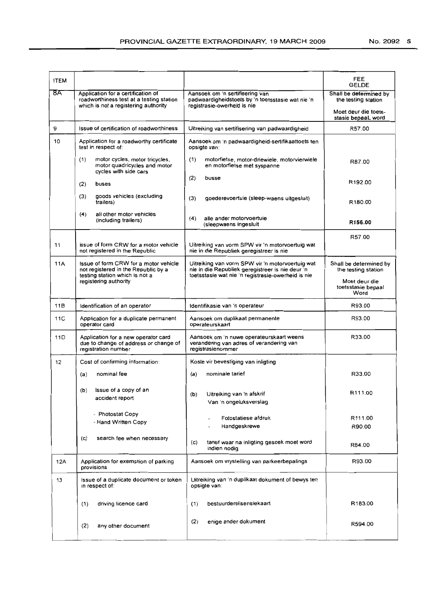| <b>ITEM</b> |                                                                                                                        |                                                                                                                     | FEE<br><b>GELDE</b>                                                                         |
|-------------|------------------------------------------------------------------------------------------------------------------------|---------------------------------------------------------------------------------------------------------------------|---------------------------------------------------------------------------------------------|
| 8A          | Application for a certification of<br>roadworthiness test at a testing station<br>which is not a registering authority | Aansoek om 'n sertifisering van<br>padwaardigheidstoets by 'n toetsstasie wat nie 'n<br>registrasie-owerheid is nie | Shall be determined by<br>the testing station<br>Moet deur die toets-<br>stasie bepaaL word |
| 9           | Issue of certification of roadworthiness                                                                               | Uitreiking van sertifisering van padwaardigheid                                                                     | R57.00                                                                                      |
| 10          | Application for a roadworthy certificate<br>test in respect of:                                                        | Aansoek om 'n padwaardigheid-sertifikaattoets ten<br>opsigte van:                                                   |                                                                                             |
|             | (1)<br>motor cycles, motor tricycles,<br>motor quadricycles and motor<br>cycles with side cars                         | (1)<br>motorfietse, motor-driewiele, motorvierwiele<br>en motorfietse met syspanne                                  | R87.00                                                                                      |
|             | (2)<br>buses                                                                                                           | (2)<br>busse                                                                                                        | R192.00                                                                                     |
|             | goods vehicles (excluding<br>(3)<br>trailers)                                                                          | (3)<br>goederevoertuie (sleep-waens uitgesluit)                                                                     | R180.00                                                                                     |
|             | (4)<br>all other motor vehicles<br>(including trailers)                                                                | (4)<br>alle ander motorvoertuie<br>(sleepwaens ingesluit                                                            | R156.00                                                                                     |
| 11          | issue of form CRW for a motor vehicle<br>not registered in the Republic                                                | Uitreiking van vorm SPW vir 'n motorvoertuig wat<br>nie in die Republiek geregistreer is nie                        | R57.00                                                                                      |
| 11A         | Issue of form CRW for a motor vehicle<br>not registered in the Republic by a                                           | Uitreiking van vorm SPW vir 'n motorvoertuig wat<br>nie in die Republiek geregistreer is nie deur 'n                | Shall be determined by<br>the testing station                                               |
|             | testing station which is not a<br>registering authority                                                                | toetsstasie wat nie 'n registrasie-owerheid is nie                                                                  | Moet deur die<br>toetsstasie bepaal<br>Word                                                 |
| 11B         | Identification of an operator                                                                                          | Identifikasie van 'n operateur                                                                                      | R93.00                                                                                      |
| 11C         | Application for a duplicate permanent<br>operator card                                                                 | Aansoek om duplikaat permanente<br>operateurskaart                                                                  | R93.00                                                                                      |
| 11D         | Application for a new operator card<br>due to change of address or change of<br>registration number                    | Aansoek om 'n nuwe operateurskaart weens<br>verandering van adres of verandering van<br>registrasienommer           | R33.00                                                                                      |
| 12          | Cost of confirming information:                                                                                        | Koste vir bevestiging van inligting                                                                                 |                                                                                             |
|             | nominal fee<br>(a)                                                                                                     | nominale tarief<br>(a)                                                                                              | R33.00                                                                                      |
|             | Issue of a copy of an<br>(b)<br>accident report                                                                        | (b)<br>Uitreiking van 'n afskrif<br>Van 'n ongeluksverslag                                                          | R111.00                                                                                     |
|             | - Photostat Copy                                                                                                       | Fotostatiese afdruk                                                                                                 | R111.00                                                                                     |
|             | - Hand Written Copy                                                                                                    | Handgeskrewe                                                                                                        | R90.00                                                                                      |
|             | search fee when necessary<br>(c)                                                                                       | tarief waar na inligting gesoek moet word<br>(c)<br>indien nodig                                                    | R84.00                                                                                      |
| 12A         | Application for exemption of parking<br>provisions                                                                     | Aansoek om vrystelling van parkeerbepalings                                                                         | R93.00                                                                                      |
| 13          | issue of a duplicate document or token<br>in respect of:                                                               | Uitreiking van 'n duplikaat dokument of bewys ten<br>opsigte van:                                                   |                                                                                             |
|             | driving licence card<br>(1)                                                                                            | bestuurderslisensiekaart<br>(1)                                                                                     | R183.00                                                                                     |
|             | (2)<br>any other document                                                                                              | (2)<br>enige ander dokument                                                                                         | R594.00                                                                                     |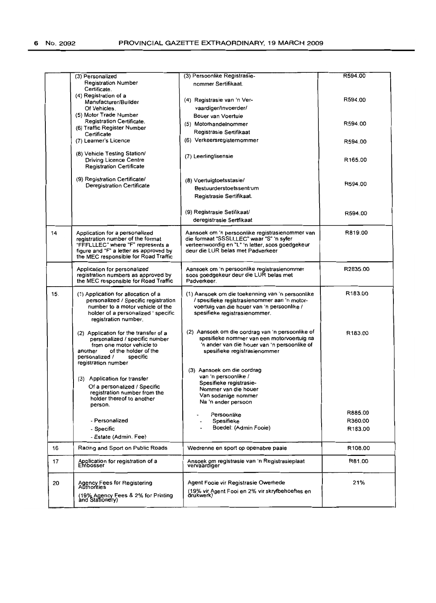|     | (3) Personalized<br><b>Registration Number</b>                              | (3) Persoonlike Registrasie-<br>nommer Sertifikaat.                                          | R594.00  |
|-----|-----------------------------------------------------------------------------|----------------------------------------------------------------------------------------------|----------|
|     | Certificate.                                                                |                                                                                              |          |
|     | (4) Registration of a                                                       | (4) Registrasie van 'n Ver-                                                                  | R594.00  |
|     | Manufacturer/Builder<br>Of Vehicles.                                        | vaardiger/Invoerder/                                                                         |          |
|     | (5) Motor Trade Number                                                      | Bouer van Voertuie                                                                           |          |
|     | Registration Certificate.                                                   |                                                                                              | R594.00  |
|     | (6) Traffic Register Number                                                 | (5) Motorhandelnommer                                                                        |          |
|     | Certificate                                                                 | Registrasie Sertifikaat                                                                      |          |
|     | (7) Learner's Licence                                                       | (6) Verkeersregisternommer                                                                   | R594.00  |
|     | (8) Vehicle Testing Station/                                                | (7) Leerlinglisensie                                                                         |          |
|     | <b>Driving Licence Centre</b>                                               |                                                                                              | R165.00  |
|     | <b>Registration Certificate</b>                                             |                                                                                              |          |
|     | (9) Registration Certificate/                                               | (8) Voertuigtoetsstasie/                                                                     |          |
|     | Deregistration Certificate                                                  | Bestuurderstoetssentrum                                                                      | R594.00  |
|     |                                                                             | Registrasie Sertifikaat.                                                                     |          |
|     |                                                                             |                                                                                              |          |
|     |                                                                             | (9) Registrasie Setifikaat/                                                                  | R594.00  |
|     |                                                                             | deregistrasie Sertfikaat                                                                     |          |
| 14  | Application for a personalized                                              | Aansoek om 'n persoonlike registrasienommer van                                              | R819.00  |
|     | registration number of the format                                           | die formaat "SSSLLLEC" waar "S" 'n syfer<br>verteenwoordig en "L" 'n letter, soos goedgekeur |          |
|     | "FFFLLLEC" where "F" represents a<br>figure and "F" a letter as approved by | deur die LUR belas met Padverkeer                                                            |          |
|     | the MEC responsible for Road Traffic                                        |                                                                                              |          |
|     | Application for personalized                                                | Aansoek om 'n persoonlike registrasienommer                                                  | R2835.00 |
|     | registration numbers as approved by                                         | soos goedgekeur deur die LUR belas met                                                       |          |
|     | the MEC responsible for Road Traffic                                        | Padverkeer.                                                                                  |          |
| 15. | (1) Application for allocation of a                                         | (1) Aansoek om die toekenning van 'n persoonlike                                             | R183.00  |
|     | personalized / Specific registration                                        | / spesifieke registrasienommer aan 'n motor-                                                 |          |
|     | number to a motor vehicle of the                                            | voertuig van die houer van 'n persoonlike /                                                  |          |
|     | holder of a personalized 'specific                                          | spesifieke registrasienommer.                                                                |          |
|     | registration number.                                                        |                                                                                              |          |
|     | (2) Application for the transfer of a                                       | (2) Aansoek om die oordrag van 'n persoonlike of                                             | R183.00  |
|     | personalized / specific number                                              | spesifieke nommer van een motorvoertuig na                                                   |          |
|     | from one motor vehicle to<br>of the holder of the                           | 'n ander van die houer van 'n persoonlike of                                                 |          |
|     | another<br>personalized /<br>specific                                       | spesifieke registrasienommer                                                                 |          |
|     | registration number                                                         |                                                                                              |          |
|     |                                                                             | (3) Aansoek om die oordrag                                                                   |          |
|     | (3) Application for transfer                                                | van 'n persoonlike /                                                                         |          |
|     | Of a personalized / Specific                                                | Spesifieke registrasie-                                                                      |          |
|     | registration number from the                                                | Nommer van die houer<br>Van sodanige nommer                                                  |          |
|     | holder thereof to another                                                   | Na 'n ander persoon                                                                          |          |
|     | person.                                                                     |                                                                                              | R885.00  |
|     | - Personalized                                                              | Persoonlike                                                                                  | R360.00  |
|     |                                                                             | Spesifieke<br>Boedel: (Admin Fooie)                                                          | R183.00  |
|     | - Specific<br>- Estate (Admin. Fee)                                         |                                                                                              |          |
| 16  | Racing and Sport on Public Roads                                            | Wedrenne en sport op openabre paaie                                                          | R108.00  |
|     |                                                                             |                                                                                              |          |
| 17  | Application for registration of a<br>Embosser                               | Ansoek om registrasie van 'n Registrasieplaat<br>vervaardiger                                | R81.00   |
| 20  | Agency Fees for Registering<br>Authorities                                  | Agent Fooie vir Registrasie Owerhede                                                         | 21%      |
|     |                                                                             | (19% vir Agent Fooi en 2% vir skryfbehoeftes en<br>drukwerk)                                 |          |
|     | (19% Agency Fees & 2% for Printing<br>and Stationery)                       |                                                                                              |          |
|     |                                                                             |                                                                                              |          |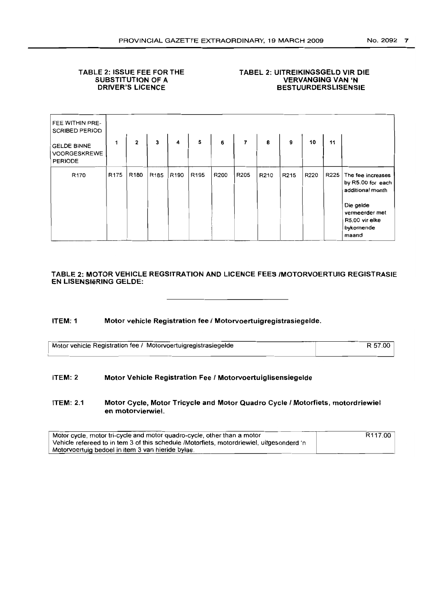## TABLE 2: ISSUE FEE FOR THE SUBSTITUTION OF A DRIVER'S LICENCE

## TABEL 2: UITREIKINGSGELD VIR DIE VERVANGING VAN 'N BESTUURDERSLISENSIE

| FEE WITHIN PRE-<br><b>SCRIBED PERIOD</b>             |                  |                  |                         |                  |                  |                  |                |      |                   |      |      |                                                                                                                                   |
|------------------------------------------------------|------------------|------------------|-------------------------|------------------|------------------|------------------|----------------|------|-------------------|------|------|-----------------------------------------------------------------------------------------------------------------------------------|
| <b>GELDE BINNE</b><br>VOORGESKREWE<br><b>PERIODE</b> | 1                | $\mathbf{2}$     | $\overline{\mathbf{3}}$ | 4                | 5                | $\boldsymbol{6}$ | $\overline{7}$ | 8    | 9                 | 10   | 11   |                                                                                                                                   |
| R <sub>170</sub>                                     | R <sub>175</sub> | R <sub>180</sub> | R <sub>185</sub>        | R <sub>190</sub> | R <sub>195</sub> | R200             | R205           | R210 | R <sub>2</sub> 15 | R220 | R225 | The fee increases<br>by R5.00 for each<br>additional month<br>Die gelde<br>vermeerder met<br>R5.00 vir elke<br>bykomende<br>maand |

## TABLE 2: MOTOR VEHICLE REGSITRATION AND LICENCE FEES IMOTORVOERTUIG REGISTRASIE EN L1SENSleRING GELDE:

## ITEM: 1 Motor vehicle Registration fee I Motorvoertuigregistrasiegelde.

| Motor vehicle Registration fee / Motorvoertuigregistrasiegelde | R 57.00 |
|----------------------------------------------------------------|---------|
|                                                                |         |

### ITEM: 2 Motor Vehicle Registration Fee I Motorvoertuiglisensiegelde

ITEM: 2.1 Motor Cycle, Motor Tricycle and Motor Quadro Cycle I Motorfiets, motordriewiel en motorvierwiel.

| Motor cycle, motor tri-cycle and motor quadro-cycle, other than a motor                   | R <sub>117.00</sub> |
|-------------------------------------------------------------------------------------------|---------------------|
| Vehicle refereed to in tem 3 of this schedule /Motorfiets, motordriewiel, uitgesonderd 'n |                     |
| Motorvoertuig bedoel in item 3 van hieride bylae.                                         |                     |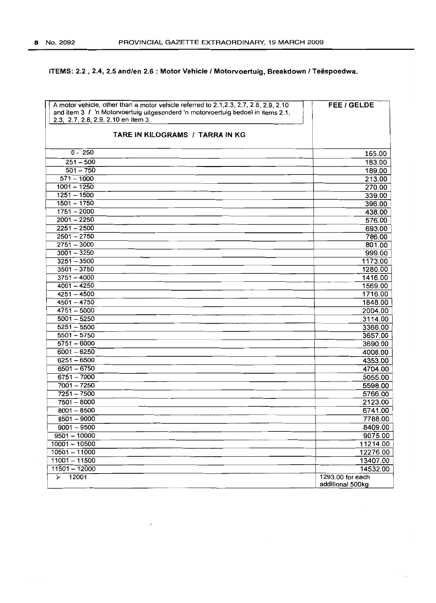## **ITEMS:** 2.2 , 2.4, 2.5 **and/en** 2.6 : **Motor Vehicle I Motorvoertuig, Breakdown I Teespoedwa.**

| A motor vehicle, other than a motor vehicle referred to 2.1, 2.3, 2.7, 2.8, 2.9, 2.10<br>and item 3 / 'n Motorvoertuig uitgesonderd 'n motorvoertuig bedoel in items 2.1,<br>2.3, 2.7, 2.8, 2.9, 2.10 en item 3.<br>TARE IN KILOGRAMS / TARRA IN KG | FEE / GELDE        |
|-----------------------------------------------------------------------------------------------------------------------------------------------------------------------------------------------------------------------------------------------------|--------------------|
| $0 - 250$                                                                                                                                                                                                                                           | 165.00             |
| $251 - 500$                                                                                                                                                                                                                                         | 183.00             |
| $501 - 750$                                                                                                                                                                                                                                         | 189.00             |
| $571 - 1000$                                                                                                                                                                                                                                        | 213.00             |
| $1001 - 1250$                                                                                                                                                                                                                                       | 270.00             |
| $1251 - 1500$                                                                                                                                                                                                                                       | 339.00             |
| $1501 - 1750$                                                                                                                                                                                                                                       | 396.00             |
| $1751 - 2000$                                                                                                                                                                                                                                       | 438.00             |
| $2001 - 2250$                                                                                                                                                                                                                                       | 576.00             |
| $2251 - 2500$                                                                                                                                                                                                                                       | 693.00             |
| $2501 - 2750$                                                                                                                                                                                                                                       | 786.00             |
| $2751 - 3000$                                                                                                                                                                                                                                       | 801.00             |
| $3001 - 3250$                                                                                                                                                                                                                                       | 999.00             |
| $3251 - 3500$                                                                                                                                                                                                                                       | 1173.00            |
| $3501 - 3750$                                                                                                                                                                                                                                       | 1280.00            |
| $3751 - 4000$                                                                                                                                                                                                                                       | 1416.00            |
| $4001 - 4250$                                                                                                                                                                                                                                       | 1569.00            |
| $4251 - 4500$<br>$4501 - 4750$                                                                                                                                                                                                                      | 1716.00            |
| $4751 - 5000$                                                                                                                                                                                                                                       | 1848.00<br>2004.00 |
| $5001 - 5250$                                                                                                                                                                                                                                       | 3114.00            |
| $5251 - 5500$                                                                                                                                                                                                                                       | 3366.00            |
| $5501 - 5750$                                                                                                                                                                                                                                       | 3657.00            |
| $5751 - 6000$                                                                                                                                                                                                                                       | 3690.00            |
| $6001 - 6250$                                                                                                                                                                                                                                       | 4008.00            |
| $6251 - 6500$                                                                                                                                                                                                                                       | 4353.00            |
| $6501 - 6750$                                                                                                                                                                                                                                       | 4704.00            |
| $6751 - 7000$                                                                                                                                                                                                                                       | 5055.00            |
| $7001 - 7250$                                                                                                                                                                                                                                       | 5598.00            |
| $7251 - 7500$                                                                                                                                                                                                                                       | 5766.00            |
| $7501 - 8000$                                                                                                                                                                                                                                       | 2123.00            |
| $8001 - 8500$                                                                                                                                                                                                                                       | 6741.00            |
| 8501 - 9000                                                                                                                                                                                                                                         | 7788.00            |
| $9001 - 9500$                                                                                                                                                                                                                                       | 8409.00            |
| $9501 - 10000$                                                                                                                                                                                                                                      | 9075.00            |
| $10001 - 10500$                                                                                                                                                                                                                                     | 11214.00           |
| $10501 - 11000$                                                                                                                                                                                                                                     | 12276.00           |
| $11001 - 11500$                                                                                                                                                                                                                                     | 13407.00           |
| $11501 - 12000$                                                                                                                                                                                                                                     | 14532.00           |
| 12001<br>$\prec$                                                                                                                                                                                                                                    | 1293.00 for each   |
|                                                                                                                                                                                                                                                     | additional 500kg   |

 $\ddot{\phantom{a}}$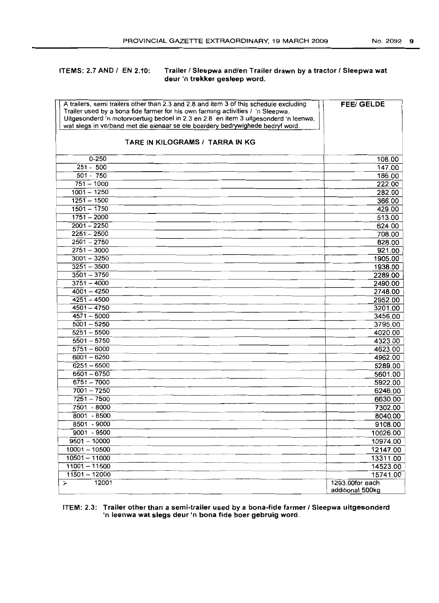## ITEMS: 2.7 AND / EN 2.10: Trailer / Sleepwa and/en Trailer drawn by a tractor / Sleepwa wat deur 'n trekker gesleep word.

| A trailers, semi trailers other than 2.3 and 2.8 and item 3 of this schedule excluding<br>Trailer used by a bona fide farmer for his own farming activities / 'n Sleepwa,<br>Uitgesonderd 'n motorvoertuig bedoel in 2.3 en 2.8 en item 3 uitgesonderd 'n leenwa,<br>wat slegs in verband met die eienaar se eie boerdery bedrywighede bedryf word. | <b>FEE/ GELDE</b>           |
|-----------------------------------------------------------------------------------------------------------------------------------------------------------------------------------------------------------------------------------------------------------------------------------------------------------------------------------------------------|-----------------------------|
| TARE IN KILOGRAMS / TARRA IN KG                                                                                                                                                                                                                                                                                                                     |                             |
| $0 - 250$                                                                                                                                                                                                                                                                                                                                           | 108.00                      |
| $251 - 500$                                                                                                                                                                                                                                                                                                                                         | 147.00                      |
| $501 - 750$                                                                                                                                                                                                                                                                                                                                         | 186.00                      |
| $751 - 1000$                                                                                                                                                                                                                                                                                                                                        | 222.00                      |
| $1001 - 1250$                                                                                                                                                                                                                                                                                                                                       | 282.00                      |
| $1251 - 1500$                                                                                                                                                                                                                                                                                                                                       | 366.00                      |
| $1501 - 1750$                                                                                                                                                                                                                                                                                                                                       | 429.00                      |
| $1751 - 2000$                                                                                                                                                                                                                                                                                                                                       | 513.00                      |
| $2001 - 2250$                                                                                                                                                                                                                                                                                                                                       | 624.00                      |
| $2251 - 2500$                                                                                                                                                                                                                                                                                                                                       | 708.00                      |
| $2501 - 2750$                                                                                                                                                                                                                                                                                                                                       | 828.00                      |
| $2751 - 3000$<br>$3001 - 3250$                                                                                                                                                                                                                                                                                                                      | 921.00                      |
| $3251 - 3500$                                                                                                                                                                                                                                                                                                                                       | 1905.00<br>1938.00          |
| $3501 - 3750$                                                                                                                                                                                                                                                                                                                                       | 2289.00                     |
| $3751 - 4000$                                                                                                                                                                                                                                                                                                                                       | 2490.00                     |
| $4001 - 4250$                                                                                                                                                                                                                                                                                                                                       | 2748.00                     |
| $4251 - 4500$                                                                                                                                                                                                                                                                                                                                       | 2952.00                     |
| $4501 - 4750$                                                                                                                                                                                                                                                                                                                                       | 3201.00                     |
| $4571 - 5000$                                                                                                                                                                                                                                                                                                                                       | 3456.00                     |
| $5001 - 5250$                                                                                                                                                                                                                                                                                                                                       | 3795.00                     |
| $5251 - 5500$                                                                                                                                                                                                                                                                                                                                       | 4020.00                     |
| $5501 - 5750$                                                                                                                                                                                                                                                                                                                                       | 4323.00                     |
| $5751 - 6000$                                                                                                                                                                                                                                                                                                                                       | 4623.00                     |
| $6001 - 6250$                                                                                                                                                                                                                                                                                                                                       | 4962.00                     |
| $6251 - 6500$                                                                                                                                                                                                                                                                                                                                       | 5289.00                     |
| $6501 - 6750$                                                                                                                                                                                                                                                                                                                                       | 5601.00                     |
| $6751 - 7000$                                                                                                                                                                                                                                                                                                                                       | 5922.00                     |
| $7001 - 7250$                                                                                                                                                                                                                                                                                                                                       | 6246.00                     |
| $7251 - 7500$                                                                                                                                                                                                                                                                                                                                       | 6630.00                     |
| 7501 - 8000                                                                                                                                                                                                                                                                                                                                         | 7302.00                     |
| 8001 - 8500                                                                                                                                                                                                                                                                                                                                         | 8040.00                     |
| 8501 - 9000                                                                                                                                                                                                                                                                                                                                         | 9108.00                     |
| 9001 - 9500                                                                                                                                                                                                                                                                                                                                         | 10026.00                    |
| $9501 - 10000$                                                                                                                                                                                                                                                                                                                                      | 10974.00                    |
| $10001 - 10500$                                                                                                                                                                                                                                                                                                                                     | 12147.00                    |
| $10501 - 11000$                                                                                                                                                                                                                                                                                                                                     | 13311.00                    |
| $11001 - 11500$                                                                                                                                                                                                                                                                                                                                     | 14523.00                    |
| $11501 - 12000$<br>12001                                                                                                                                                                                                                                                                                                                            | 15741.00<br>1293.00for each |
| ン                                                                                                                                                                                                                                                                                                                                                   | additional 500kg            |

## ITEM: 2.3: Trailer other than a semi-trailer used by a bona-fide farmer I Sleepwa uitgesonderd 'n leenwa wat slegs deur 'n bona fide boer gebruig word.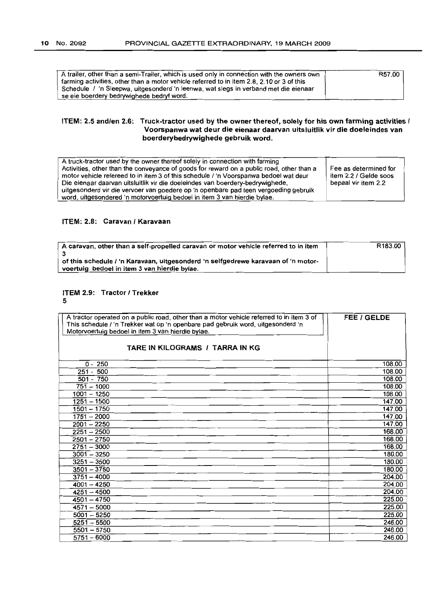| A trailer, other than a semi-Trailer, which is used only in connection with the owners own | R57.00 |
|--------------------------------------------------------------------------------------------|--------|
| farming activities, other than a motor vehicle referred to in item 2.8, 2.10 or 3 of this  |        |
| Schedule / 'n Sleepwa, uitgesonderd 'n leenwa, wat slegs in verband met die eienaar        |        |
| se eie boerdery bedrywighede bedryf word.                                                  |        |

## ITEM: 2.5 and/en 2.6: Truck-tractor used by the owner thereof, solely for his own farming activities { Voorspanwa wat deur die eienaar daarvan uitsluitlik vir die doeleindes van boerderybedrywighede gebruik word.

| A truck-tractor used by the owner thereof solely in connection with farming              |                       |
|------------------------------------------------------------------------------------------|-----------------------|
|                                                                                          |                       |
| Activities, other than the conveyance of goods for reward on a public road, other than a | Fee as determined for |
| motor vehicle refereed to in item 3 of this schedule / 'n Voorspanwa bedoel wat deur     | item 2.2 / Gelde soos |
| Die eienaar daarvan uitsluitlik vir die doeleindes van boerdery-bedrywighede,            | bepaal vir item 2.2   |
| uitgesonderd vir die vervoer van goedere op 'n openbare pad teen vergoeding gebruik      |                       |
| word, uitgesondered 'n motorvoertuig bedoel in item 3 van hierdie bylae.                 |                       |

## ITEM: 2.8: Caravan / Karavaan

| A caravan, other than a self-propelled caravan or motor vehicle referred to in item | R <sub>183.00</sub> |
|-------------------------------------------------------------------------------------|---------------------|
|                                                                                     |                     |
| of this schedule / 'n Karavaan, uitgesonderd 'n selfgedrewe karavaan of 'n motor-   |                     |
| voertuig bedoel in item 3 van hierdie bylae.                                        |                     |

## ITEM 2.9: Tractor / Trekker

## 5

| A tractor operated on a public road, other than a motor vehicle referred to in item 3 of<br>This schedule / 'n Trekker wat op 'n openbare pad gebruik word, uitgesonderd 'n<br>Motorvoertuig bedoel in item 3 van hierdie bylae. | <b>FEE / GELDE</b> |
|----------------------------------------------------------------------------------------------------------------------------------------------------------------------------------------------------------------------------------|--------------------|
| TARE IN KILOGRAMS / TARRA IN KG                                                                                                                                                                                                  |                    |
| $0 - 250$                                                                                                                                                                                                                        | 108.00             |
| $251 - 500$                                                                                                                                                                                                                      | 108.00             |
| $501 - 750$                                                                                                                                                                                                                      | 108.00             |
| $751 - 1000$                                                                                                                                                                                                                     | 108.00             |
| $1001 - 1250$                                                                                                                                                                                                                    | 108.00             |
| $1251 - 1500$                                                                                                                                                                                                                    | 147.00             |
| $1501 - 1750$                                                                                                                                                                                                                    | 147.00             |
| $1751 - 2000$                                                                                                                                                                                                                    | 147.00             |
| $2001 - 2250$                                                                                                                                                                                                                    | 147.00             |
| $2251 - 2500$                                                                                                                                                                                                                    | 168.00             |
| $2501 - 2750$                                                                                                                                                                                                                    | 168.00             |
| $2751 - 3000$                                                                                                                                                                                                                    | 168.00             |
| $3001 - 3250$                                                                                                                                                                                                                    | 180.00             |
| $3251 - 3500$                                                                                                                                                                                                                    | 180.00             |
| $3501 - 3750$                                                                                                                                                                                                                    | 180.00             |
| $3751 - 4000$                                                                                                                                                                                                                    | 204.00             |
| $4001 - 4250$                                                                                                                                                                                                                    | 204.00             |
| $4251 - 4500$                                                                                                                                                                                                                    | 204.00             |
| $4501 - 4750$                                                                                                                                                                                                                    | 225.00             |
| $4571 - 5000$                                                                                                                                                                                                                    | 225.00             |
| $5001 - 5250$                                                                                                                                                                                                                    | 225.00             |
| $5251 - 5500$                                                                                                                                                                                                                    | 246.00             |
| $5501 - 5750$                                                                                                                                                                                                                    | 246.00             |
| $5751 - 6000$                                                                                                                                                                                                                    | 246.00             |